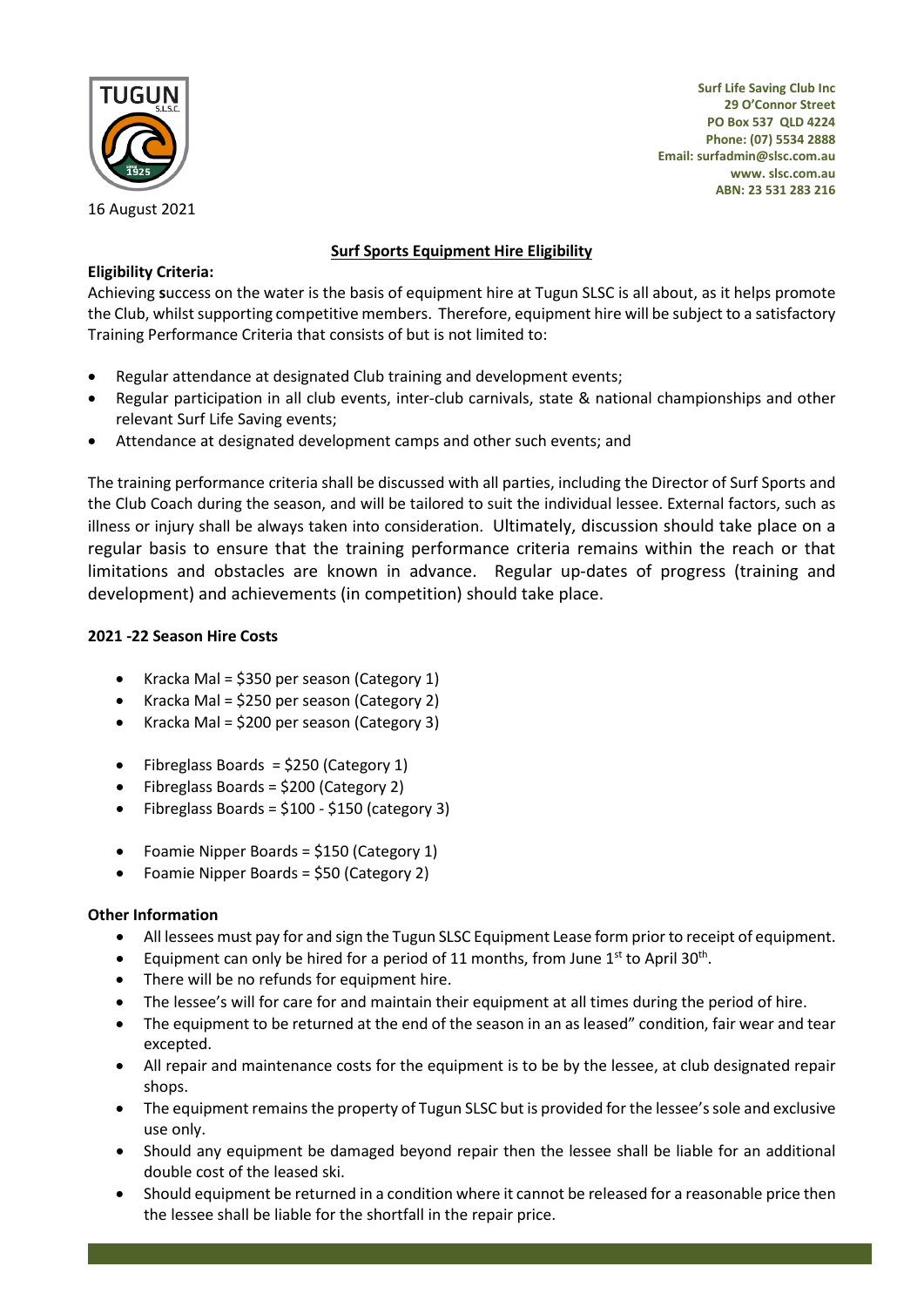

16 August 2021

**Surf Life Saving Club Inc 29 O'Connor Street PO Box 537 QLD 4224 Phone: (07) 5534 2888 Email[: surfadmin@slsc.com.au](mailto:surfadmin@tugunslsc.com.au) www. slsc.com.au ABN: 23 531 283 216**

# **Surf Sports Equipment Hire Eligibility**

## **Eligibility Criteria:**

Achieving **s**uccess on the water is the basis of equipment hire at Tugun SLSC is all about, as it helps promote the Club, whilst supporting competitive members. Therefore, equipment hire will be subject to a satisfactory Training Performance Criteria that consists of but is not limited to:

- Regular attendance at designated Club training and development events;
- Regular participation in all club events, inter-club carnivals, state & national championships and other relevant Surf Life Saving events;
- Attendance at designated development camps and other such events; and

The training performance criteria shall be discussed with all parties, including the Director of Surf Sports and the Club Coach during the season, and will be tailored to suit the individual lessee. External factors, such as illness or injury shall be always taken into consideration. Ultimately, discussion should take place on a regular basis to ensure that the training performance criteria remains within the reach or that limitations and obstacles are known in advance. Regular up-dates of progress (training and development) and achievements (in competition) should take place.

# **2021 -22 Season Hire Costs**

- Kracka Mal =  $$350$  per season (Category 1)
- Kracka Mal = \$250 per season (Category 2)
- Kracka Mal = \$200 per season (Category 3)
- Fibreglass Boards = \$250 (Category 1)
- Fibreglass Boards = \$200 (Category 2)
- Fibreglass Boards =  $$100 $150$  (category 3)
- Foamie Nipper Boards = \$150 (Category 1)
- Foamie Nipper Boards = \$50 (Category 2)

### **Other Information**

- All lessees must pay for and sign the Tugun SLSC Equipment Lease form prior to receipt of equipment.
- Equipment can only be hired for a period of 11 months, from June  $1^{st}$  to April 30<sup>th</sup>.
- There will be no refunds for equipment hire.
- The lessee's will for care for and maintain their equipment at all times during the period of hire.
- The equipment to be returned at the end of the season in an as leased" condition, fair wear and tear excepted.
- All repair and maintenance costs for the equipment is to be by the lessee, at club designated repair shops.
- The equipment remains the property of Tugun SLSC but is provided for the lessee's sole and exclusive use only.
- Should any equipment be damaged beyond repair then the lessee shall be liable for an additional double cost of the leased ski.
- Should equipment be returned in a condition where it cannot be released for a reasonable price then the lessee shall be liable for the shortfall in the repair price.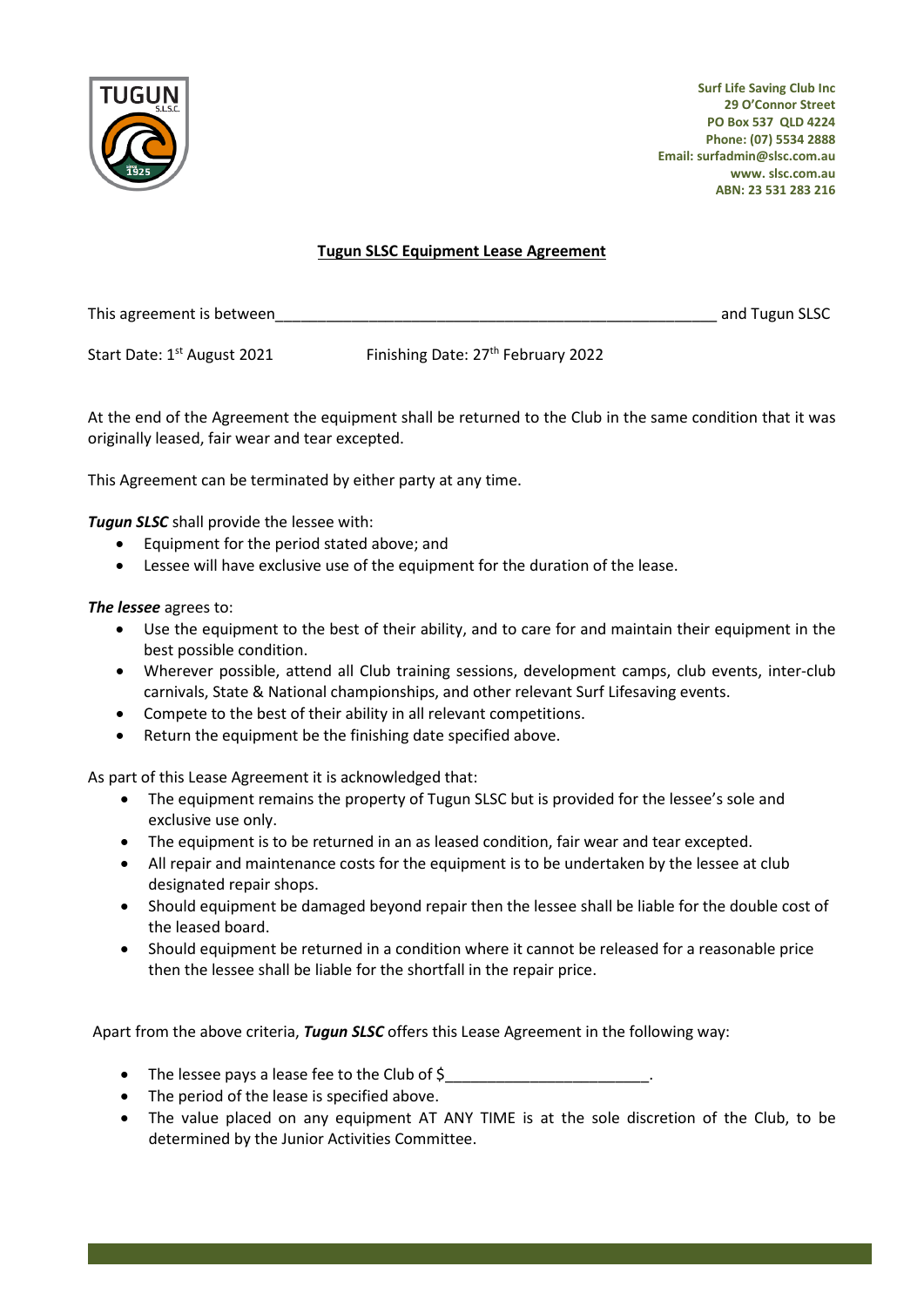

**Surf Life Saving Club Inc 29 O'Connor Street PO Box 537 QLD 4224 Phone: (07) 5534 2888 Email[: surfadmin@slsc.com.au](mailto:surfadmin@tugunslsc.com.au) www. slsc.com.au ABN: 23 531 283 216**

#### **Tugun SLSC Equipment Lease Agreement**

This agreement is between example and Tugun SLSC

Start Date: 1<sup>st</sup> August 2021 Finishing Date: 27<sup>th</sup> February 2022

At the end of the Agreement the equipment shall be returned to the Club in the same condition that it was originally leased, fair wear and tear excepted.

This Agreement can be terminated by either party at any time.

*Tugun SLSC* shall provide the lessee with:

- Equipment for the period stated above; and
- Lessee will have exclusive use of the equipment for the duration of the lease.

#### *The lessee* agrees to:

- Use the equipment to the best of their ability, and to care for and maintain their equipment in the best possible condition.
- Wherever possible, attend all Club training sessions, development camps, club events, inter-club carnivals, State & National championships, and other relevant Surf Lifesaving events.
- Compete to the best of their ability in all relevant competitions.
- Return the equipment be the finishing date specified above.

As part of this Lease Agreement it is acknowledged that:

- The equipment remains the property of Tugun SLSC but is provided for the lessee's sole and exclusive use only.
- The equipment is to be returned in an as leased condition, fair wear and tear excepted.
- All repair and maintenance costs for the equipment is to be undertaken by the lessee at club designated repair shops.
- Should equipment be damaged beyond repair then the lessee shall be liable for the double cost of the leased board.
- Should equipment be returned in a condition where it cannot be released for a reasonable price then the lessee shall be liable for the shortfall in the repair price.

Apart from the above criteria, *Tugun SLSC* offers this Lease Agreement in the following way:

- The lessee pays a lease fee to the Club of \$
- The period of the lease is specified above.
- The value placed on any equipment AT ANY TIME is at the sole discretion of the Club, to be determined by the Junior Activities Committee.